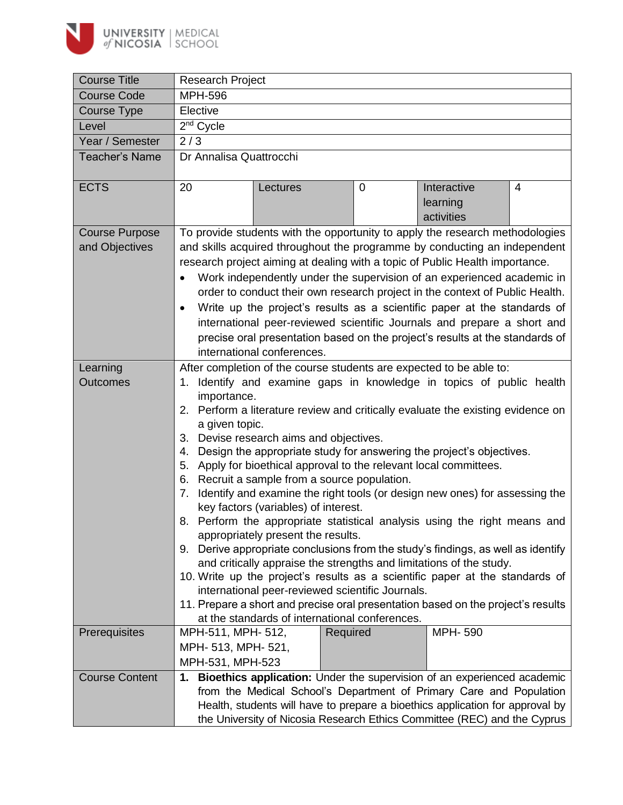

| <b>Course Title</b>   | <b>Research Project</b>                                                                                                                                                                                                          |                                                                              |          |   |                                                                                  |                |
|-----------------------|----------------------------------------------------------------------------------------------------------------------------------------------------------------------------------------------------------------------------------|------------------------------------------------------------------------------|----------|---|----------------------------------------------------------------------------------|----------------|
| <b>Course Code</b>    | <b>MPH-596</b>                                                                                                                                                                                                                   |                                                                              |          |   |                                                                                  |                |
| Course Type           | Elective                                                                                                                                                                                                                         |                                                                              |          |   |                                                                                  |                |
| Level                 | 2 <sup>nd</sup> Cycle                                                                                                                                                                                                            |                                                                              |          |   |                                                                                  |                |
| Year / Semester       | 2/3                                                                                                                                                                                                                              |                                                                              |          |   |                                                                                  |                |
| <b>Teacher's Name</b> | Dr Annalisa Quattrocchi                                                                                                                                                                                                          |                                                                              |          |   |                                                                                  |                |
|                       |                                                                                                                                                                                                                                  |                                                                              |          |   |                                                                                  |                |
| <b>ECTS</b>           | 20                                                                                                                                                                                                                               | Lectures                                                                     |          | 0 | Interactive<br>learning<br>activities                                            | $\overline{4}$ |
| <b>Course Purpose</b> | To provide students with the opportunity to apply the research methodologies                                                                                                                                                     |                                                                              |          |   |                                                                                  |                |
| and Objectives        | and skills acquired throughout the programme by conducting an independent                                                                                                                                                        |                                                                              |          |   |                                                                                  |                |
|                       | research project aiming at dealing with a topic of Public Health importance.                                                                                                                                                     |                                                                              |          |   |                                                                                  |                |
|                       | $\bullet$                                                                                                                                                                                                                        | Work independently under the supervision of an experienced academic in       |          |   |                                                                                  |                |
|                       |                                                                                                                                                                                                                                  | order to conduct their own research project in the context of Public Health. |          |   |                                                                                  |                |
|                       | Write up the project's results as a scientific paper at the standards of<br>$\bullet$                                                                                                                                            |                                                                              |          |   |                                                                                  |                |
|                       | international peer-reviewed scientific Journals and prepare a short and                                                                                                                                                          |                                                                              |          |   |                                                                                  |                |
|                       |                                                                                                                                                                                                                                  |                                                                              |          |   | precise oral presentation based on the project's results at the standards of     |                |
|                       |                                                                                                                                                                                                                                  | international conferences.                                                   |          |   |                                                                                  |                |
| Learning              | After completion of the course students are expected to be able to:                                                                                                                                                              |                                                                              |          |   |                                                                                  |                |
| <b>Outcomes</b>       | Identify and examine gaps in knowledge in topics of public health<br>1.                                                                                                                                                          |                                                                              |          |   |                                                                                  |                |
|                       | importance.<br>2. Perform a literature review and critically evaluate the existing evidence on                                                                                                                                   |                                                                              |          |   |                                                                                  |                |
|                       | a given topic.                                                                                                                                                                                                                   |                                                                              |          |   |                                                                                  |                |
|                       | 3. Devise research aims and objectives.                                                                                                                                                                                          |                                                                              |          |   |                                                                                  |                |
|                       | 4.                                                                                                                                                                                                                               |                                                                              |          |   | Design the appropriate study for answering the project's objectives.             |                |
|                       |                                                                                                                                                                                                                                  |                                                                              |          |   | 5. Apply for bioethical approval to the relevant local committees.               |                |
|                       | 6.                                                                                                                                                                                                                               | Recruit a sample from a source population.                                   |          |   |                                                                                  |                |
|                       | 7.                                                                                                                                                                                                                               |                                                                              |          |   | Identify and examine the right tools (or design new ones) for assessing the      |                |
|                       |                                                                                                                                                                                                                                  | key factors (variables) of interest.                                         |          |   |                                                                                  |                |
|                       | Perform the appropriate statistical analysis using the right means and<br>8.                                                                                                                                                     |                                                                              |          |   |                                                                                  |                |
|                       | appropriately present the results.                                                                                                                                                                                               |                                                                              |          |   |                                                                                  |                |
|                       | 9. Derive appropriate conclusions from the study's findings, as well as identify<br>and critically appraise the strengths and limitations of the study.                                                                          |                                                                              |          |   |                                                                                  |                |
|                       |                                                                                                                                                                                                                                  |                                                                              |          |   | 10. Write up the project's results as a scientific paper at the standards of     |                |
|                       |                                                                                                                                                                                                                                  | international peer-reviewed scientific Journals.                             |          |   |                                                                                  |                |
|                       |                                                                                                                                                                                                                                  |                                                                              |          |   | 11. Prepare a short and precise oral presentation based on the project's results |                |
|                       |                                                                                                                                                                                                                                  | at the standards of international conferences.                               |          |   |                                                                                  |                |
| Prerequisites         | MPH-511, MPH- 512,                                                                                                                                                                                                               |                                                                              | Required |   | MPH-590                                                                          |                |
|                       | MPH- 513, MPH- 521,                                                                                                                                                                                                              |                                                                              |          |   |                                                                                  |                |
|                       | MPH-531, MPH-523                                                                                                                                                                                                                 |                                                                              |          |   |                                                                                  |                |
| <b>Course Content</b> | 1.                                                                                                                                                                                                                               |                                                                              |          |   | Bioethics application: Under the supervision of an experienced academic          |                |
|                       | from the Medical School's Department of Primary Care and Population<br>Health, students will have to prepare a bioethics application for approval by<br>the University of Nicosia Research Ethics Committee (REC) and the Cyprus |                                                                              |          |   |                                                                                  |                |
|                       |                                                                                                                                                                                                                                  |                                                                              |          |   |                                                                                  |                |
|                       |                                                                                                                                                                                                                                  |                                                                              |          |   |                                                                                  |                |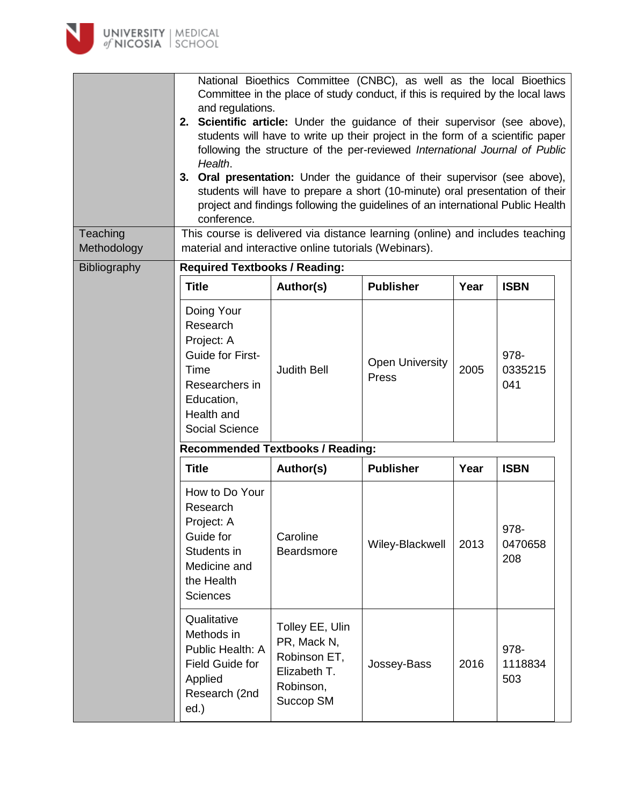| Teaching<br>Methodology | and regulations.<br>Health.<br>conference.                                                                                              | National Bioethics Committee (CNBC), as well as the local Bioethics<br>Committee in the place of study conduct, if this is required by the local laws<br>2. Scientific article: Under the guidance of their supervisor (see above),<br>students will have to write up their project in the form of a scientific paper<br>following the structure of the per-reviewed International Journal of Public<br>3. Oral presentation: Under the guidance of their supervisor (see above),<br>students will have to prepare a short (10-minute) oral presentation of their<br>project and findings following the guidelines of an international Public Health<br>This course is delivered via distance learning (online) and includes teaching<br>material and interactive online tutorials (Webinars). |                                 |      |                        |  |  |
|-------------------------|-----------------------------------------------------------------------------------------------------------------------------------------|------------------------------------------------------------------------------------------------------------------------------------------------------------------------------------------------------------------------------------------------------------------------------------------------------------------------------------------------------------------------------------------------------------------------------------------------------------------------------------------------------------------------------------------------------------------------------------------------------------------------------------------------------------------------------------------------------------------------------------------------------------------------------------------------|---------------------------------|------|------------------------|--|--|
| Bibliography            | <b>Required Textbooks / Reading:</b><br><b>Title</b>                                                                                    | Author(s)                                                                                                                                                                                                                                                                                                                                                                                                                                                                                                                                                                                                                                                                                                                                                                                      | <b>Publisher</b>                | Year | <b>ISBN</b>            |  |  |
|                         | Doing Your<br>Research<br>Project: A<br>Guide for First-<br>Time<br>Researchers in<br>Education,<br>Health and<br><b>Social Science</b> | <b>Judith Bell</b>                                                                                                                                                                                                                                                                                                                                                                                                                                                                                                                                                                                                                                                                                                                                                                             | <b>Open University</b><br>Press | 2005 | 978-<br>0335215<br>041 |  |  |
|                         | <b>Recommended Textbooks / Reading:</b>                                                                                                 |                                                                                                                                                                                                                                                                                                                                                                                                                                                                                                                                                                                                                                                                                                                                                                                                |                                 |      |                        |  |  |
|                         | <b>Title</b>                                                                                                                            | Author(s)                                                                                                                                                                                                                                                                                                                                                                                                                                                                                                                                                                                                                                                                                                                                                                                      | <b>Publisher</b>                | Year | <b>ISBN</b>            |  |  |
|                         | How to Do Your<br>Research<br>Project: A<br>Guide for<br>Students in<br>Medicine and<br>the Health<br><b>Sciences</b>                   | Caroline<br>Beardsmore                                                                                                                                                                                                                                                                                                                                                                                                                                                                                                                                                                                                                                                                                                                                                                         | Wiley-Blackwell                 | 2013 | 978-<br>0470658<br>208 |  |  |
|                         | Qualitative<br>Methods in<br>Public Health: A<br><b>Field Guide for</b><br>Applied<br>Research (2nd<br>ed.)                             | Tolley EE, Ulin<br>PR, Mack N,<br>Robinson ET,<br>Elizabeth T.<br>Robinson,<br>Succop SM                                                                                                                                                                                                                                                                                                                                                                                                                                                                                                                                                                                                                                                                                                       | Jossey-Bass                     | 2016 | 978-<br>1118834<br>503 |  |  |